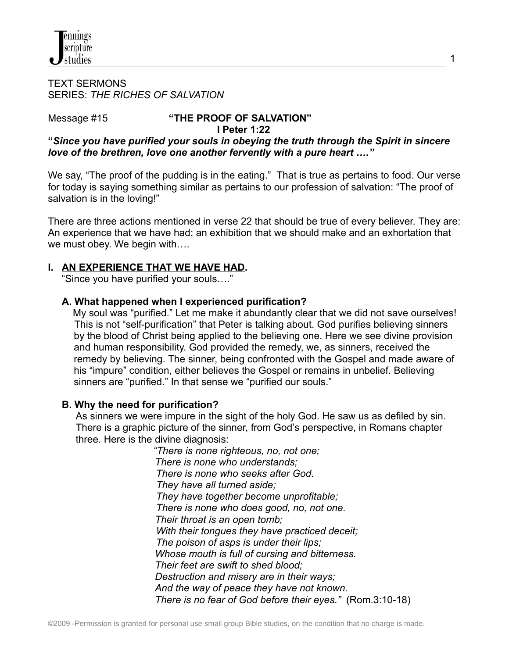#### TEXT SERMONS SERIES: *THE RICHES OF SALVATION*

## Message #15 **"THE PROOF OF SALVATION"**

#### **I Peter 1:22**

**"***Since you have purified your souls in obeying the truth through the Spirit in sincere love of the brethren, love one another fervently with a pure heart …."*

We say, "The proof of the pudding is in the eating." That is true as pertains to food. Our verse for today is saying something similar as pertains to our profession of salvation: "The proof of salvation is in the loving!"

There are three actions mentioned in verse 22 that should be true of every believer. They are: An experience that we have had; an exhibition that we should make and an exhortation that we must obey. We begin with….

## **I. AN EXPERIENCE THAT WE HAVE HAD.**

"Since you have purified your souls…."

### **A. What happened when I experienced purification?**

My soul was "purified." Let me make it abundantly clear that we did not save ourselves! This is not "self-purification" that Peter is talking about. God purifies believing sinners by the blood of Christ being applied to the believing one. Here we see divine provision and human responsibility. God provided the remedy, we, as sinners, received the remedy by believing. The sinner, being confronted with the Gospel and made aware of his "impure" condition, either believes the Gospel or remains in unbelief. Believing sinners are "purified." In that sense we "purified our souls."

### **B. Why the need for purification?**

As sinners we were impure in the sight of the holy God. He saw us as defiled by sin. There is a graphic picture of the sinner, from God's perspective, in Romans chapter three. Here is the divine diagnosis:

> *"There is none righteous, no, not one; There is none who understands; There is none who seeks after God. They have all turned aside; They have together become unprofitable; There is none who does good, no, not one. Their throat is an open tomb; With their tongues they have practiced deceit; The poison of asps is under their lips; Whose mouth is full of cursing and bitterness. Their feet are swift to shed blood; Destruction and misery are in their ways; And the way of peace they have not known. There is no fear of God before their eyes."* (Rom.3:10-18)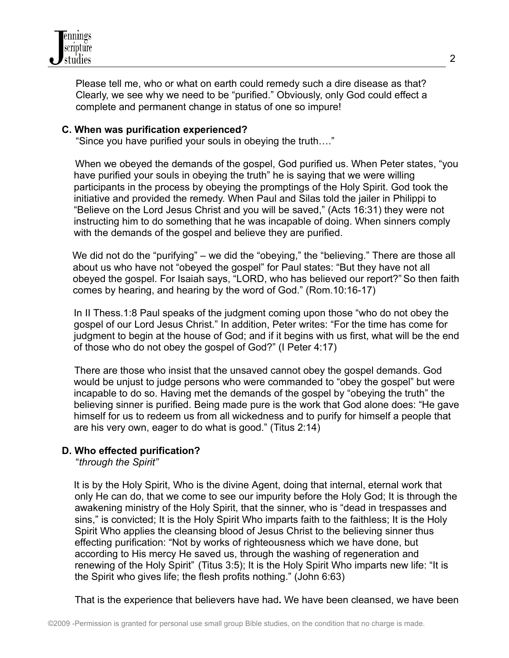

Please tell me, who or what on earth could remedy such a dire disease as that? Clearly, we see why we need to be "purified." Obviously, only God could effect a complete and permanent change in status of one so impure!

#### **C. When was purification experienced?**

"Since you have purified your souls in obeying the truth…."

When we obeyed the demands of the gospel, God purified us. When Peter states, "you have purified your souls in obeying the truth" he is saying that we were willing participants in the process by obeying the promptings of the Holy Spirit. God took the initiative and provided the remedy. When Paul and Silas told the jailer in Philippi to "Believe on the Lord Jesus Christ and you will be saved," (Acts 16:31) they were not instructing him to do something that he was incapable of doing. When sinners comply with the demands of the gospel and believe they are purified.

We did not do the "purifying" – we did the "obeying," the "believing." There are those all about us who have not "obeyed the gospel" for Paul states: "But they have not all obeyed the gospel. For Isaiah says, "LORD, who has believed our report?" So then faith comes by hearing, and hearing by the word of God." (Rom.10:16-17)

In II Thess.1:8 Paul speaks of the judgment coming upon those "who do not obey the gospel of our Lord Jesus Christ." In addition, Peter writes: "For the time has come for judgment to begin at the house of God; and if it begins with us first, what will be the end of those who do not obey the gospel of God?" (I Peter 4:17)

There are those who insist that the unsaved cannot obey the gospel demands. God would be unjust to judge persons who were commanded to "obey the gospel" but were incapable to do so. Having met the demands of the gospel by "obeying the truth" the believing sinner is purified. Being made pure is the work that God alone does: "He gave himself for us to redeem us from all wickedness and to purify for himself a people that are his very own, eager to do what is good." (Titus 2:14)

### **D. Who effected purification?**

"*through the Spirit"*

It is by the Holy Spirit, Who is the divine Agent, doing that internal, eternal work that only He can do, that we come to see our impurity before the Holy God; It is through the awakening ministry of the Holy Spirit, that the sinner, who is "dead in trespasses and sins," is convicted; It is the Holy Spirit Who imparts faith to the faithless; It is the Holy Spirit Who applies the cleansing blood of Jesus Christ to the believing sinner thus effecting purification: "Not by works of righteousness which we have done, but according to His mercy He saved us, through the washing of regeneration and renewing of the Holy Spirit" (Titus 3:5); It is the Holy Spirit Who imparts new life: "It is the Spirit who gives life; the flesh profits nothing." (John 6:63)

That is the experience that believers have had**.** We have been cleansed, we have been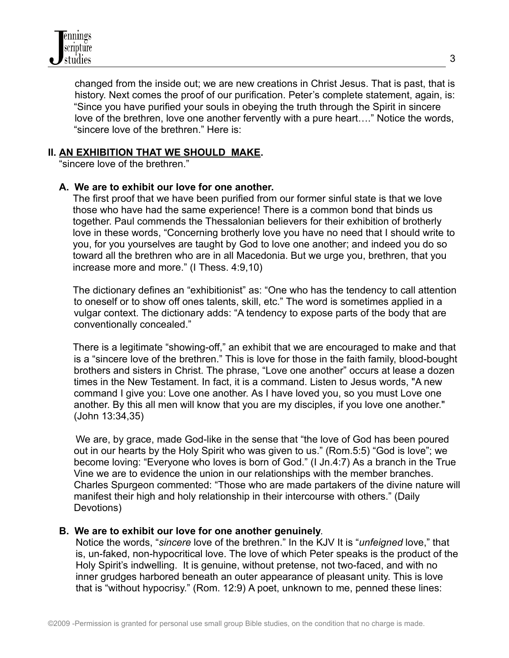changed from the inside out; we are new creations in Christ Jesus. That is past, that is history. Next comes the proof of our purification. Peter's complete statement, again, is: "Since you have purified your souls in obeying the truth through the Spirit in sincere love of the brethren, love one another fervently with a pure heart…." Notice the words, "sincere love of the brethren." Here is:

## **II. AN EXHIBITION THAT WE SHOULD MAKE.**

"sincere love of the brethren."

### **A. We are to exhibit our love for one another.**

The first proof that we have been purified from our former sinful state is that we love those who have had the same experience! There is a common bond that binds us together. Paul commends the Thessalonian believers for their exhibition of brotherly love in these words, "Concerning brotherly love you have no need that I should write to you, for you yourselves are taught by God to love one another; and indeed you do so toward all the brethren who are in all Macedonia. But we urge you, brethren, that you increase more and more." (I Thess. 4:9,10)

The dictionary defines an "exhibitionist" as: "One who has the tendency to call attention to oneself or to show off ones talents, skill, etc." The word is sometimes applied in a vulgar context. The dictionary adds: "A tendency to expose parts of the body that are conventionally concealed."

There is a legitimate "showing-off," an exhibit that we are encouraged to make and that is a "sincere love of the brethren." This is love for those in the faith family, blood-bought brothers and sisters in Christ. The phrase, "Love one another" occurs at lease a dozen times in the New Testament. In fact, it is a command. Listen to Jesus words, "A new command I give you: Love one another. As I have loved you, so you must Love one another. By this all men will know that you are my disciples, if you love one another." (John 13:34,35)

We are, by grace, made God-like in the sense that "the love of God has been poured out in our hearts by the Holy Spirit who was given to us." (Rom.5:5) "God is love"; we become loving: "Everyone who loves is born of God." (I Jn.4:7) As a branch in the True Vine we are to evidence the union in our relationships with the member branches. Charles Spurgeon commented: "Those who are made partakers of the divine nature will manifest their high and holy relationship in their intercourse with others." (Daily Devotions)

### **B. We are to exhibit our love for one another genuinely**.

Notice the words, "*sincere* love of the brethren." In the KJV It is "*unfeigned* love," that is, un-faked, non-hypocritical love. The love of which Peter speaks is the product of the Holy Spirit's indwelling. It is genuine, without pretense, not two-faced, and with no inner grudges harbored beneath an outer appearance of pleasant unity. This is love that is "without hypocrisy." (Rom. 12:9) A poet, unknown to me, penned these lines: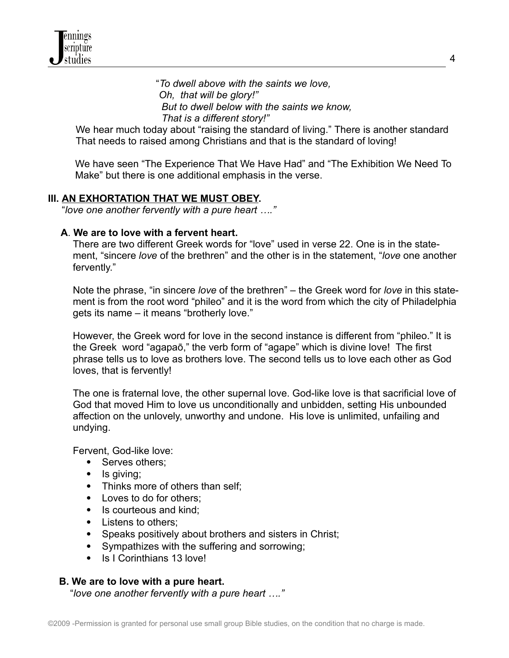"*To dwell above with the saints we love, Oh, that will be glory!" But to dwell below with the saints we know, That is a different story!"*

We hear much today about "raising the standard of living." There is another standard That needs to raised among Christians and that is the standard of loving!

We have seen "The Experience That We Have Had" and "The Exhibition We Need To Make" but there is one additional emphasis in the verse.

## **III. AN EXHORTATION THAT WE MUST OBEY.**

"*love one another fervently with a pure heart …."*

## **A**. **We are to love with a fervent heart.**

There are two different Greek words for "love" used in verse 22. One is in the statement, "sincere *love* of the brethren" and the other is in the statement, "*love* one another fervently."

Note the phrase, "in sincere *love* of the brethren" – the Greek word for *love* in this statement is from the root word "phileo" and it is the word from which the city of Philadelphia gets its name – it means "brotherly love."

However, the Greek word for love in the second instance is different from "phileo." It is the Greek word "agapaō," the verb form of "agape" which is divine love! The first phrase tells us to love as brothers love. The second tells us to love each other as God loves, that is fervently!

The one is fraternal love, the other supernal love. God-like love is that sacrificial love of God that moved Him to love us unconditionally and unbidden, setting His unbounded affection on the unlovely, unworthy and undone. His love is unlimited, unfailing and undying.

Fervent, God-like love:

- Serves others;
- Is giving;
- Thinks more of others than self;
- Loves to do for others:
- Is courteous and kind:
- Listens to others;
- Speaks positively about brothers and sisters in Christ;
- Sympathizes with the suffering and sorrowing;
- Is I Corinthians 13 love!

### **B. We are to love with a pure heart.**

"*love one another fervently with a pure heart …."*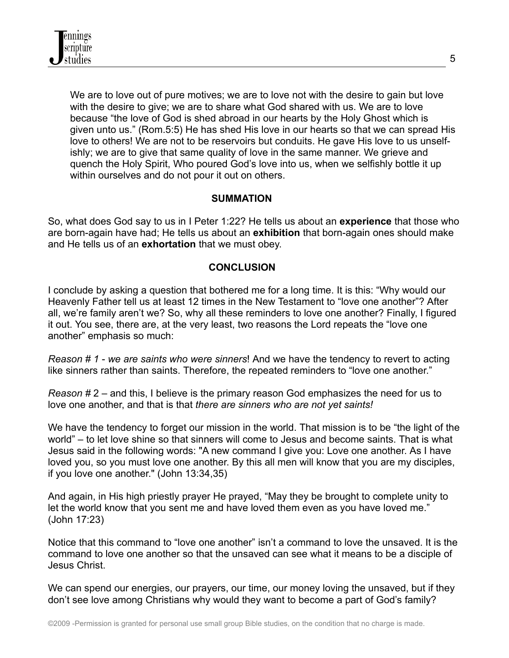We are to love out of pure motives; we are to love not with the desire to gain but love with the desire to give; we are to share what God shared with us. We are to love because "the love of God is shed abroad in our hearts by the Holy Ghost which is given unto us." (Rom.5:5) He has shed His love in our hearts so that we can spread His love to others! We are not to be reservoirs but conduits. He gave His love to us unselfishly; we are to give that same quality of love in the same manner. We grieve and quench the Holy Spirit, Who poured God's love into us, when we selfishly bottle it up within ourselves and do not pour it out on others.

# **SUMMATION**

So, what does God say to us in I Peter 1:22? He tells us about an **experience** that those who are born-again have had; He tells us about an **exhibition** that born-again ones should make and He tells us of an **exhortation** that we must obey.

## **CONCLUSION**

I conclude by asking a question that bothered me for a long time. It is this: "Why would our Heavenly Father tell us at least 12 times in the New Testament to "love one another"? After all, we're family aren't we? So, why all these reminders to love one another? Finally, I figured it out. You see, there are, at the very least, two reasons the Lord repeats the "love one another" emphasis so much:

*Reason # 1* - *we are saints who were sinners*! And we have the tendency to revert to acting like sinners rather than saints. Therefore, the repeated reminders to "love one another."

*Reason #* 2 – and this, I believe is the primary reason God emphasizes the need for us to love one another, and that is that *there are sinners who are not yet saints!*

We have the tendency to forget our mission in the world. That mission is to be "the light of the world" – to let love shine so that sinners will come to Jesus and become saints. That is what Jesus said in the following words: "A new command I give you: Love one another. As I have loved you, so you must love one another. By this all men will know that you are my disciples, if you love one another." (John 13:34,35)

And again, in His high priestly prayer He prayed, "May they be brought to complete unity to let the world know that you sent me and have loved them even as you have loved me." (John 17:23)

Notice that this command to "love one another" isn't a command to love the unsaved. It is the command to love one another so that the unsaved can see what it means to be a disciple of Jesus Christ.

We can spend our energies, our prayers, our time, our money loving the unsaved, but if they don't see love among Christians why would they want to become a part of God's family?